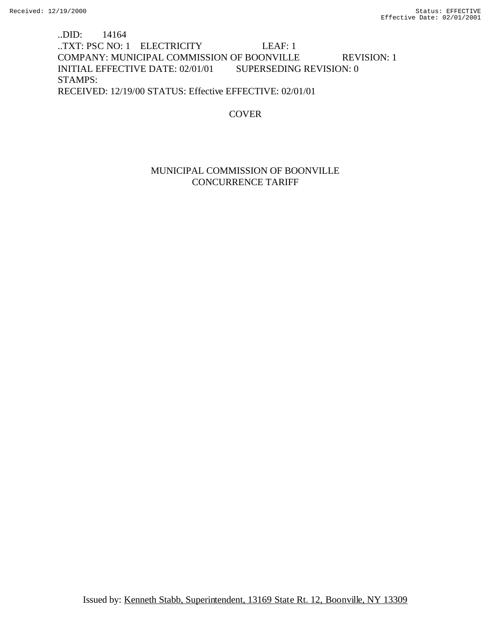# ..DID: 14164 ..TXT: PSC NO: 1 ELECTRICITY LEAF: 1 COMPANY: MUNICIPAL COMMISSION OF BOONVILLE REVISION: 1 INITIAL EFFECTIVE DATE: 02/01/01 SUPERSEDING REVISION: 0 STAMPS: RECEIVED: 12/19/00 STATUS: Effective EFFECTIVE: 02/01/01

# **COVER**

## MUNICIPAL COMMISSION OF BOONVILLE CONCURRENCE TARIFF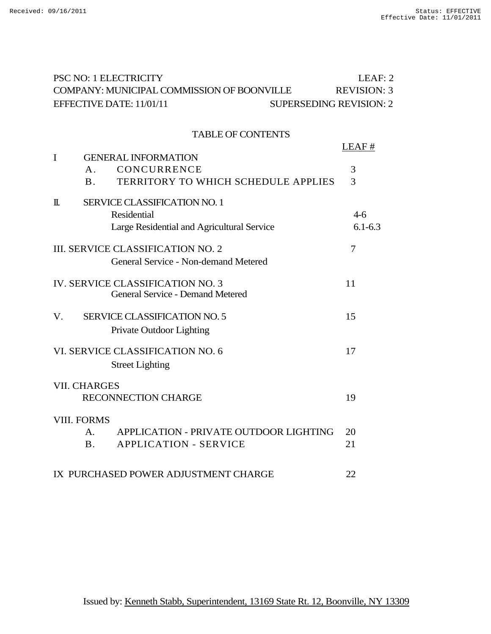| PSC NO: 1 ELECTRICITY                                      | LEAF: 2            |
|------------------------------------------------------------|--------------------|
| COMPANY: MUNICIPAL COMMISSION OF BOONVILLE                 | <b>REVISION: 3</b> |
| EFFECTIVE DATE: 11/01/11<br><b>SUPERSEDING REVISION: 2</b> |                    |
|                                                            |                    |
| <b>TABLE OF CONTENTS</b>                                   |                    |
| I<br><b>GENERAL INFORMATION</b>                            | LEAF#              |
| CONCURRENCE<br>$A_{-}$                                     | 3                  |
| TERRITORY TO WHICH SCHEDULE APPLIES<br>B <sub>1</sub>      | 3                  |
| SERVICE CLASSIFICATION NO. 1<br>$\mathbb{I}$ .             |                    |
| Residential                                                | $4-6$              |
| Large Residential and Agricultural Service                 | $6.1 - 6.3$        |
| <b>III. SERVICE CLASSIFICATION NO. 2</b>                   | 7                  |
| General Service - Non-demand Metered                       |                    |
| <b>IV. SERVICE CLASSIFICATION NO. 3</b>                    | 11                 |
| <b>General Service - Demand Metered</b>                    |                    |
| V.<br><b>SERVICE CLASSIFICATION NO. 5</b>                  | 15                 |
| Private Outdoor Lighting                                   |                    |
| VI. SERVICE CLASSIFICATION NO. 6                           | 17                 |
| <b>Street Lighting</b>                                     |                    |
| <b>VII. CHARGES</b>                                        |                    |
| <b>RECONNECTION CHARGE</b>                                 | 19                 |
| <b>VIII. FORMS</b>                                         |                    |
| APPLICATION - PRIVATE OUTDOOR LIGHTING<br>A.               | 20                 |
| <b>APPLICATION - SERVICE</b><br><b>B</b> .                 | 21                 |
| IX PURCHASED POWER ADJUSTMENT CHARGE                       | 22                 |
|                                                            |                    |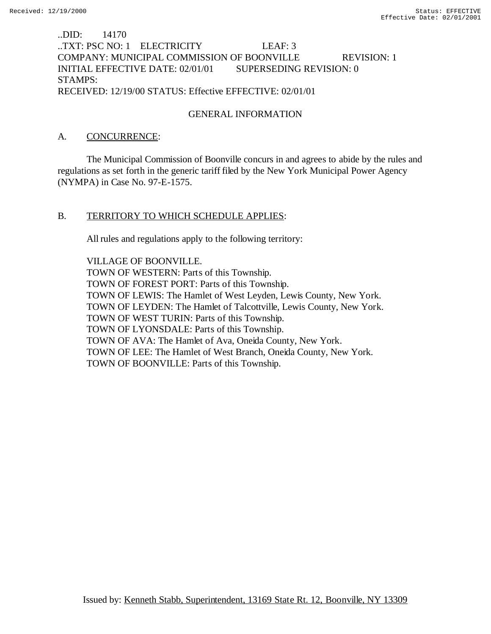## ..DID: 14170 ..TXT: PSC NO: 1 ELECTRICITY LEAF: 3 COMPANY: MUNICIPAL COMMISSION OF BOONVILLE REVISION: 1 INITIAL EFFECTIVE DATE: 02/01/01 SUPERSEDING REVISION: 0 STAMPS: RECEIVED: 12/19/00 STATUS: Effective EFFECTIVE: 02/01/01

# GENERAL INFORMATION

### A. CONCURRENCE:

The Municipal Commission of Boonville concurs in and agrees to abide by the rules and regulations as set forth in the generic tariff filed by the New York Municipal Power Agency (NYMPA) in Case No. 97-E-1575.

### B. TERRITORY TO WHICH SCHEDULE APPLIES:

All rules and regulations apply to the following territory:

VILLAGE OF BOONVILLE. TOWN OF WESTERN: Parts of this Township. TOWN OF FOREST PORT: Parts of this Township. TOWN OF LEWIS: The Hamlet of West Leyden, Lewis County, New York. TOWN OF LEYDEN: The Hamlet of Talcottville, Lewis County, New York. TOWN OF WEST TURIN: Parts of this Township. TOWN OF LYONSDALE: Parts of this Township. TOWN OF AVA: The Hamlet of Ava, Oneida County, New York. TOWN OF LEE: The Hamlet of West Branch, Oneida County, New York. TOWN OF BOONVILLE: Parts of this Township.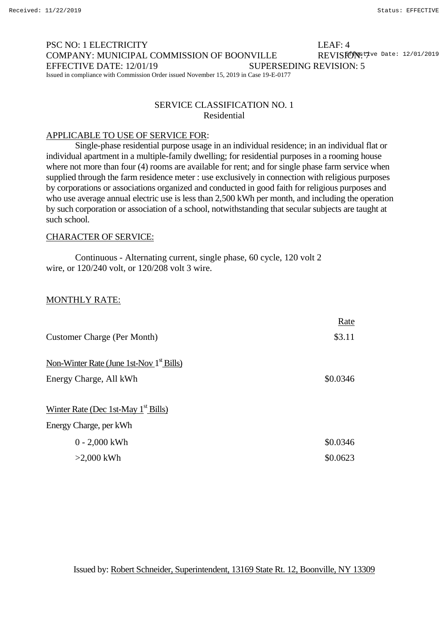#### PSC NO: 1 ELECTRICITY LEAF: 4 COMPANY: MUNICIPAL COMMISSION OF BOONVILLE EFFECTIVE DATE: 12/01/19 SUPERSEDING REVISION: 5 Issued in compliance with Commission Order issued November 15, 2019 in Case 19-E-0177 REVISFONETve Date: 12/01/2019

### SERVICE CLASSIFICATION NO. 1 Residential

### APPLICABLE TO USE OF SERVICE FOR:

Single-phase residential purpose usage in an individual residence; in an individual flat or individual apartment in a multiple-family dwelling; for residential purposes in a rooming house where not more than four (4) rooms are available for rent; and for single phase farm service when supplied through the farm residence meter : use exclusively in connection with religious purposes by corporations or associations organized and conducted in good faith for religious purposes and who use average annual electric use is less than 2,500 kWh per month, and including the operation by such corporation or association of a school, notwithstanding that secular subjects are taught at such school.

### CHARACTER OF SERVICE:

Continuous - Alternating current, single phase, 60 cycle, 120 volt 2 wire, or 120/240 volt, or 120/208 volt 3 wire.

### MONTHLY RATE:

|                                            | Rate     |
|--------------------------------------------|----------|
| Customer Charge (Per Month)                | \$3.11   |
| Non-Winter Rate (June 1st-Nov $1st$ Bills) |          |
| Energy Charge, All kWh                     | \$0.0346 |
|                                            |          |
| Winter Rate (Dec 1st-May $1st$ Bills)      |          |
| Energy Charge, per kWh                     |          |
| $0 - 2,000$ kWh                            | \$0.0346 |
| $>2,000$ kWh                               | \$0.0623 |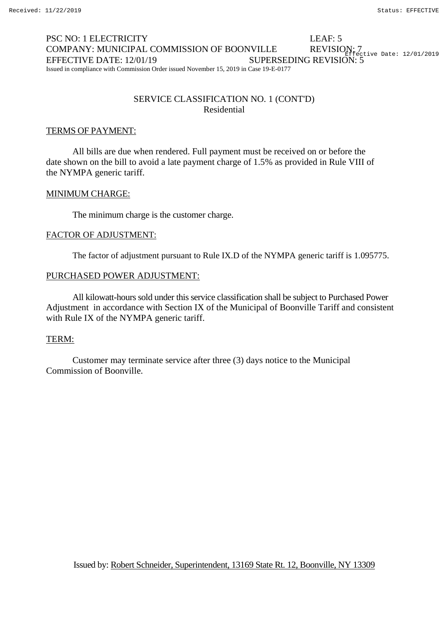#### PSC NO: 1 ELECTRICITY LEAF: 5 COMPANY: MUNICIPAL COMMISSION OF BOONVILLE EFFECTIVE DATE: 12/01/19 SUPERSEDING REVISION: 5 Issued in compliance with Commission Order issued November 15, 2019 in Case 19-E-0177 REVISION: 7<br>Effective Date: 12/01/2019

## SERVICE CLASSIFICATION NO. 1 (CONT'D) Residential

### TERMS OF PAYMENT:

All bills are due when rendered. Full payment must be received on or before the date shown on the bill to avoid a late payment charge of 1.5% as provided in Rule VIII of the NYMPA generic tariff.

### MINIMUM CHARGE:

The minimum charge is the customer charge.

#### FACTOR OF ADJUSTMENT:

The factor of adjustment pursuant to Rule IX.D of the NYMPA generic tariff is 1.095775.

### PURCHASED POWER ADJUSTMENT:

All kilowatt-hours sold under this service classification shall be subject to Purchased Power Adjustment in accordance with Section IX of the Municipal of Boonville Tariff and consistent with Rule IX of the NYMPA generic tariff.

#### TERM:

Customer may terminate service after three (3) days notice to the Municipal Commission of Boonville.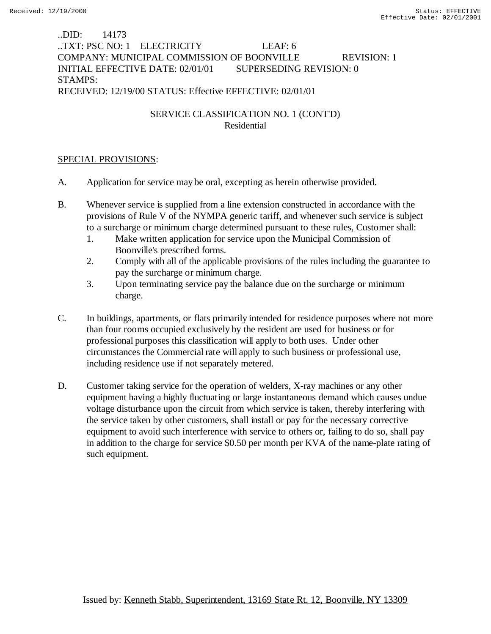# ..DID: 14173 ..TXT: PSC NO: 1 ELECTRICITY LEAF: 6 COMPANY: MUNICIPAL COMMISSION OF BOONVILLE REVISION: 1 INITIAL EFFECTIVE DATE: 02/01/01 SUPERSEDING REVISION: 0 STAMPS: RECEIVED: 12/19/00 STATUS: Effective EFFECTIVE: 02/01/01

# SERVICE CLASSIFICATION NO. 1 (CONT'D) Residential

- A. Application for service may be oral, excepting as herein otherwise provided.
- B. Whenever service is supplied from a line extension constructed in accordance with the provisions of Rule V of the NYMPA generic tariff, and whenever such service is subject to a surcharge or minimum charge determined pursuant to these rules, Customer shall:
	- 1. Make written application for service upon the Municipal Commission of Boonville's prescribed forms.
	- 2. Comply with all of the applicable provisions of the rules including the guarantee to pay the surcharge or minimum charge.
	- 3. Upon terminating service pay the balance due on the surcharge or minimum charge.
- C. In buildings, apartments, or flats primarily intended for residence purposes where not more than four rooms occupied exclusively by the resident are used for business or for professional purposes this classification will apply to both uses. Under other circumstances the Commercial rate will apply to such business or professional use, including residence use if not separately metered.
- D. Customer taking service for the operation of welders, X-ray machines or any other equipment having a highly fluctuating or large instantaneous demand which causes undue voltage disturbance upon the circuit from which service is taken, thereby interfering with the service taken by other customers, shall install or pay for the necessary corrective equipment to avoid such interference with service to others or, failing to do so, shall pay in addition to the charge for service \$0.50 per month per KVA of the name-plate rating of such equipment.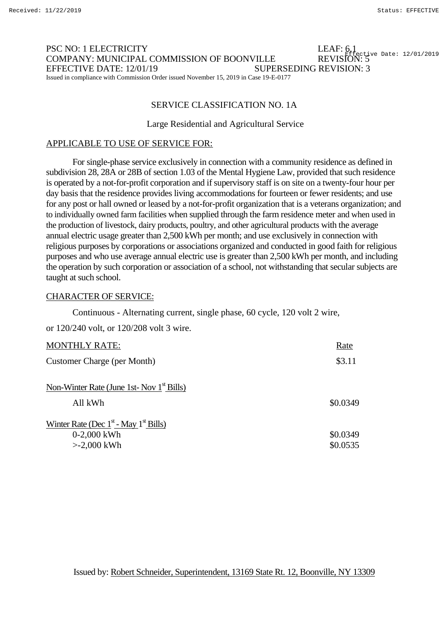#### PSC NO: 1 ELECTRICITY COMPANY: MUNICIPAL COMMISSION OF BOONVILLE EFFECTIVE DATE: 12/01/19 SUPERSEDING REVISION: 3 Issued in compliance with Commission Order issued November 15, 2019 in Case 19-E-0177 REVISION: 5<sup>ef</sup>fective Date: 12/01/2019

#### SERVICE CLASSIFICATION NO. 1A

#### Large Residential and Agricultural Service

#### APPLICABLE TO USE OF SERVICE FOR:

For single-phase service exclusively in connection with a community residence as defined in subdivision 28, 28A or 28B of section 1.03 of the Mental Hygiene Law, provided that such residence is operated by a not-for-profit corporation and if supervisory staff is on site on a twenty-four hour per day basis that the residence provides living accommodations for fourteen or fewer residents; and use for any post or hall owned or leased by a not-for-profit organization that is a veterans organization; and to individually owned farm facilities when supplied through the farm residence meter and when used in the production of livestock, dairy products, poultry, and other agricultural products with the average annual electric usage greater than 2,500 kWh per month; and use exclusively in connection with religious purposes by corporations or associations organized and conducted in good faith for religious purposes and who use average annual electric use is greater than 2,500 kWh per month, and including the operation by such corporation or association of a school, not withstanding that secular subjects are taught at such school.

#### CHARACTER OF SERVICE:

Continuous - Alternating current, single phase, 60 cycle, 120 volt 2 wire,

or 120/240 volt, or 120/208 volt 3 wire.

| <b>MONTHLY RATE:</b>                                                       | Rate                 |
|----------------------------------------------------------------------------|----------------------|
| Customer Charge (per Month)                                                | \$3.11               |
| Non-Winter Rate (June 1st- Nov $1st$ Bills)                                |                      |
| All kWh                                                                    | \$0.0349             |
| Winter Rate (Dec $1st$ - May $1st$ Bills)<br>$0-2,000$ kWh<br>$>2,000$ kWh | \$0.0349<br>\$0.0535 |
|                                                                            |                      |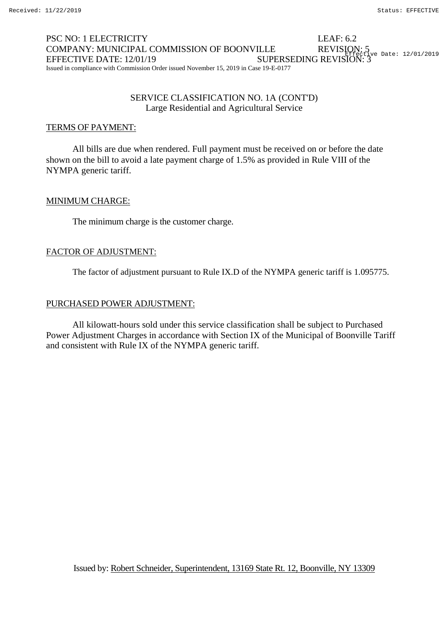#### PSC NO: 1 ELECTRICITY LEAF: 6.2 COMPANY: MUNICIPAL COMMISSION OF BOONVILLE EFFECTIVE DATE: 12/01/19 SUPERSEDING REVISION: 3 Issued in compliance with Commission Order issued November 15, 2019 in Case 19-E-0177 REVISION: 5<br>
\_\_Lifective Date: 12/01/2019

### SERVICE CLASSIFICATION NO. 1A (CONT'D) Large Residential and Agricultural Service

### TERMS OF PAYMENT:

All bills are due when rendered. Full payment must be received on or before the date shown on the bill to avoid a late payment charge of 1.5% as provided in Rule VIII of the NYMPA generic tariff.

### MINIMUM CHARGE:

The minimum charge is the customer charge.

#### FACTOR OF ADJUSTMENT:

The factor of adjustment pursuant to Rule IX.D of the NYMPA generic tariff is 1.095775.

# PURCHASED POWER ADJUSTMENT:

All kilowatt-hours sold under this service classification shall be subject to Purchased Power Adjustment Charges in accordance with Section IX of the Municipal of Boonville Tariff and consistent with Rule IX of the NYMPA generic tariff.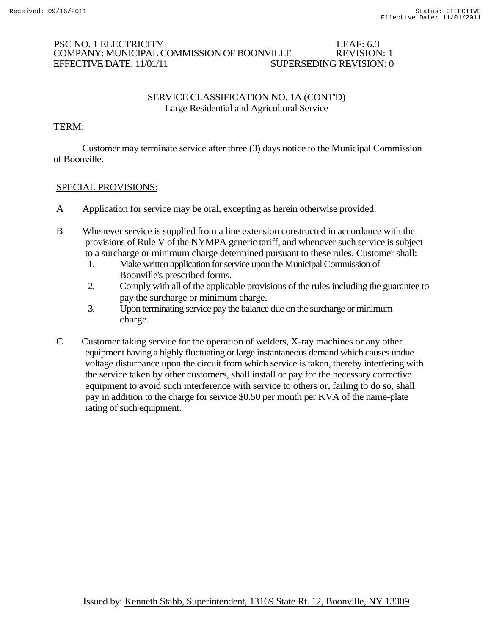### PSC NO. 1 ELECTRICITY LEAF: 6.3 COMPANY: MUNICIPAL COMMISSION OF BOONVILLE EFFECTIVE DATE: 11/01/11 SUPERSEDING REVISION: 0

### SERVICE CLASSIFICATION NO. 1A (CONT'D) Large Residential and Agricultural Service

# TERM:

Customer may terminate service after three (3) days notice to the Municipal Commission of Boonville.

- A. Application for service may be oral, excepting as herein otherwise provided.
- B. Whenever service is supplied from a line extension constructed in accordance with the provisions of Rule V of the NYMPA generic tariff, and whenever such service is subject to a surcharge or minimum charge determined pursuant to these rules, Customer shall:
	- 1. Make written application for service upon the Municipal Commission of Boonville's prescribed forms.
	- 2. Comply with all of the applicable provisions of the rules including the guarantee to pay the surcharge or minimum charge.
	- 3. Upon terminating service pay the balance due on the surcharge or minimum charge.
- C Customer taking service for the operation of welders, X-ray machines or any other equipment having a highly fluctuating or large instantaneous demand which causes undue voltage disturbance upon the circuit from which service is taken, thereby interfering with the service taken by other customers, shall install or pay for the necessary corrective equipment to avoid such interference with service to others or, failing to do so, shall pay in addition to the charge for service \$0.50 per month per KVA of the name-plate rating of such equipment.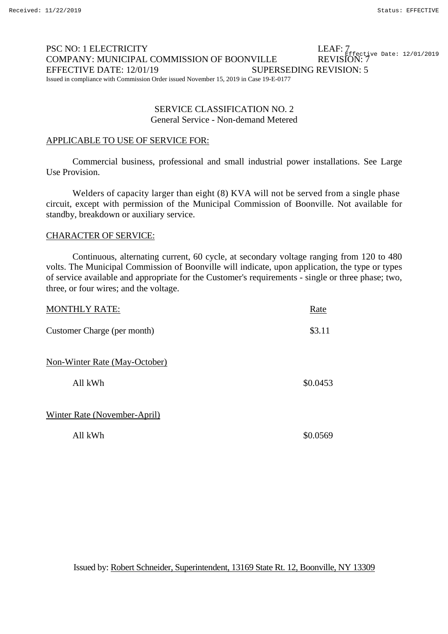#### PSC NO: 1 ELECTRICITY COMPANY: MUNICIPAL COMMISSION OF BOONVILLE REVISION: 7 EFFECTIVE DATE: 12/01/19 SUPERSEDING REVISION: 5 Issued in compliance with Commission Order issued November 15, 2019 in Case 19-E-0177 LEAF: 7<br>- - - - - Fffective Date: 12/01/2019

### SERVICE CLASSIFICATION NO. 2 General Service - Non-demand Metered

### APPLICABLE TO USE OF SERVICE FOR:

Commercial business, professional and small industrial power installations. See Large Use Provision.

Welders of capacity larger than eight (8) KVA will not be served from a single phase circuit, except with permission of the Municipal Commission of Boonville. Not available for standby, breakdown or auxiliary service.

### CHARACTER OF SERVICE:

Continuous, alternating current, 60 cycle, at secondary voltage ranging from 120 to 480 volts. The Municipal Commission of Boonville will indicate, upon application, the type or types of service available and appropriate for the Customer's requirements - single or three phase; two, three, or four wires; and the voltage.

| <b>MONTHLY RATE:</b>                 | Rate     |
|--------------------------------------|----------|
| Customer Charge (per month)          | \$3.11   |
| <b>Non-Winter Rate (May-October)</b> |          |
| All kWh                              | \$0.0453 |
| Winter Rate (November-April)         |          |
| All kWh                              | \$0.0569 |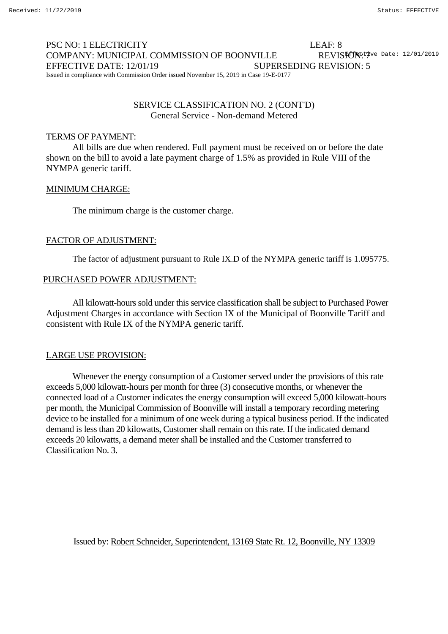#### PSC NO: 1 ELECTRICITY LEAF: 8 COMPANY: MUNICIPAL COMMISSION OF BOONVILLE EFFECTIVE DATE: 12/01/19 SUPERSEDING REVISION: 5 Issued in compliance with Commission Order issued November 15, 2019 in Case 19-E-0177 REVISIONE<sup>7</sup>ve Date: 12/01/2019

### SERVICE CLASSIFICATION NO. 2 (CONT'D) General Service - Non-demand Metered

#### TERMS OF PAYMENT:

All bills are due when rendered. Full payment must be received on or before the date shown on the bill to avoid a late payment charge of 1.5% as provided in Rule VIII of the NYMPA generic tariff.

#### MINIMUM CHARGE:

The minimum charge is the customer charge.

#### FACTOR OF ADJUSTMENT:

The factor of adjustment pursuant to Rule IX.D of the NYMPA generic tariff is 1.095775.

#### PURCHASED POWER ADJUSTMENT:

All kilowatt-hours sold under this service classification shall be subject to Purchased Power Adjustment Charges in accordance with Section IX of the Municipal of Boonville Tariff and consistent with Rule IX of the NYMPA generic tariff.

#### LARGE USE PROVISION:

Whenever the energy consumption of a Customer served under the provisions of this rate exceeds 5,000 kilowatt-hours per month for three (3) consecutive months, or whenever the connected load of a Customer indicates the energy consumption will exceed 5,000 kilowatt-hours per month, the Municipal Commission of Boonville will install a temporary recording metering device to be installed for a minimum of one week during a typical business period. If the indicated demand is less than 20 kilowatts, Customer shall remain on this rate. If the indicated demand exceeds 20 kilowatts, a demand meter shall be installed and the Customer transferred to Classification No. 3.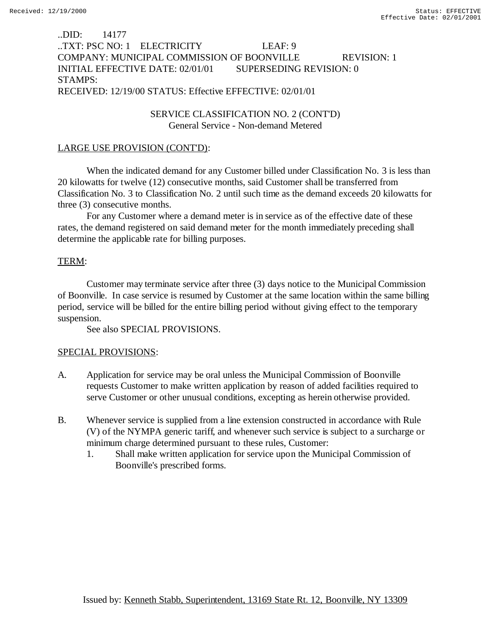### ..DID: 14177 ..TXT: PSC NO: 1 ELECTRICITY LEAF: 9 COMPANY: MUNICIPAL COMMISSION OF BOONVILLE REVISION: 1 INITIAL EFFECTIVE DATE: 02/01/01 SUPERSEDING REVISION: 0 STAMPS: RECEIVED: 12/19/00 STATUS: Effective EFFECTIVE: 02/01/01

### SERVICE CLASSIFICATION NO. 2 (CONT'D) General Service - Non-demand Metered

### LARGE USE PROVISION (CONT'D):

When the indicated demand for any Customer billed under Classification No*.* 3 is less than 20 kilowatts for twelve (12) consecutive months, said Customer shall be transferred from Classification No. 3 to Classification No. 2 until such time as the demand exceeds 20 kilowatts for three (3) consecutive months.

For any Customer where a demand meter is in service as of the effective date of these rates, the demand registered on said demand meter for the month immediately preceding shall determine the applicable rate for billing purposes.

### TERM:

Customer may terminate service after three (3) days notice to the Municipal Commission of Boonville. In case service is resumed by Customer at the same location within the same billing period, service will be billed for the entire billing period without giving effect to the temporary suspension.

See also SPECIAL PROVISIONS.

- A. Application for service may be oral unless the Municipal Commission of Boonville requests Customer to make written application by reason of added facilities required to serve Customer or other unusual conditions, excepting as herein otherwise provided.
- B. Whenever service is supplied from a line extension constructed in accordance with Rule (V) of the NYMPA generic tariff, and whenever such service is subject to a surcharge or minimum charge determined pursuant to these rules, Customer:
	- 1. Shall make written application for service upon the Municipal Commission of Boonville's prescribed forms.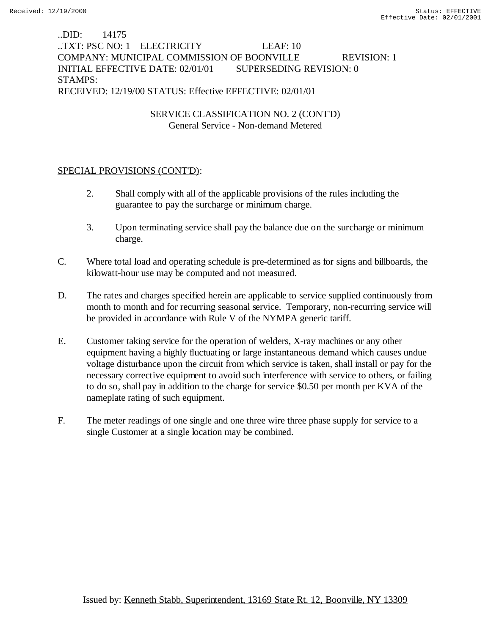# ..DID: 14175 ..TXT: PSC NO: 1 ELECTRICITY LEAF: 10 COMPANY: MUNICIPAL COMMISSION OF BOONVILLE REVISION: 1 INITIAL EFFECTIVE DATE: 02/01/01 SUPERSEDING REVISION: 0 STAMPS: RECEIVED: 12/19/00 STATUS: Effective EFFECTIVE: 02/01/01

# SERVICE CLASSIFICATION NO. 2 (CONT'D) General Service - Non-demand Metered

## SPECIAL PROVISIONS (CONT'D):

- 2. Shall comply with all of the applicable provisions of the rules including the guarantee to pay the surcharge or minimum charge.
- 3. Upon terminating service shall pay the balance due on the surcharge or minimum charge.
- C. Where total load and operating schedule is pre-determined as for signs and billboards, the kilowatt-hour use may be computed and not measured.
- D. The rates and charges specified herein are applicable to service supplied continuously from month to month and for recurring seasonal service. Temporary, non-recurring service will be provided in accordance with Rule V of the NYMPA generic tariff.
- E. Customer taking service for the operation of welders, X-ray machines or any other equipment having a highly fluctuating or large instantaneous demand which causes undue voltage disturbance upon the circuit from which service is taken, shall install or pay for the necessary corrective equipment to avoid such interference with service to others, or failing to do so, shall pay in addition to the charge for service \$0.50 per month per KVA of the nameplate rating of such equipment.
- F. The meter readings of one single and one three wire three phase supply for service to a single Customer at a single location may be combined.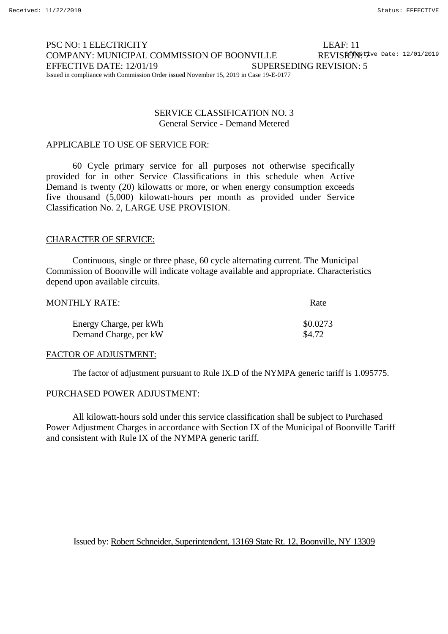#### PSC NO: 1 ELECTRICITY LEAF: 11 COMPANY: MUNICIPAL COMMISSION OF BOONVILLE EFFECTIVE DATE: 12/01/19 SUPERSEDING REVISION: 5 Issued in compliance with Commission Order issued November 15, 2019 in Case 19-E-0177 REVISFONE: Date: 12/01/2019

### SERVICE CLASSIFICATION NO. 3 General Service - Demand Metered

### APPLICABLE TO USE OF SERVICE FOR:

60 Cycle primary service for all purposes not otherwise specifically provided for in other Service Classifications in this schedule when Active Demand is twenty (20) kilowatts or more, or when energy consumption exceeds five thousand (5,000) kilowatt-hours per month as provided under Service Classification No. 2, LARGE USE PROVISION.

### CHARACTER OF SERVICE:

Continuous, single or three phase, 60 cycle alternating current. The Municipal Commission of Boonville will indicate voltage available and appropriate. Characteristics depend upon available circuits.

| MONTHLY RATE:          | <u>Rate</u> |
|------------------------|-------------|
| Energy Charge, per kWh | \$0.0273    |
| Demand Charge, per kW  | \$4.72      |

#### FACTOR OF ADJUSTMENT:

The factor of adjustment pursuant to Rule IX.D of the NYMPA generic tariff is 1.095775.

### PURCHASED POWER ADJUSTMENT:

All kilowatt-hours sold under this service classification shall be subject to Purchased Power Adjustment Charges in accordance with Section IX of the Municipal of Boonville Tariff and consistent with Rule IX of the NYMPA generic tariff.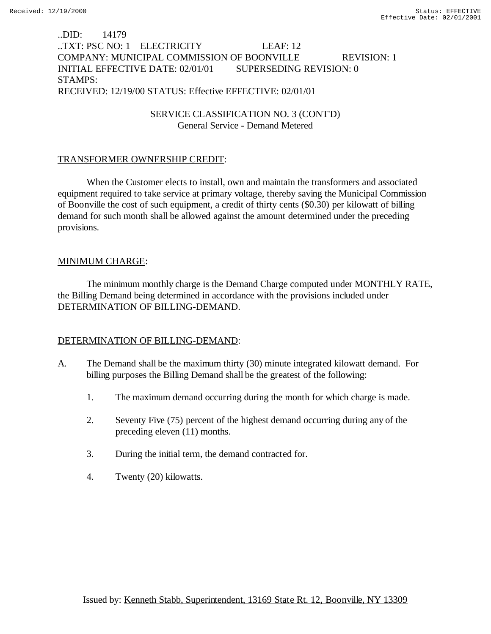## ..DID: 14179 ..TXT: PSC NO: 1 ELECTRICITY LEAF: 12 COMPANY: MUNICIPAL COMMISSION OF BOONVILLE REVISION: 1 INITIAL EFFECTIVE DATE: 02/01/01 SUPERSEDING REVISION: 0 STAMPS: RECEIVED: 12/19/00 STATUS: Effective EFFECTIVE: 02/01/01

SERVICE CLASSIFICATION NO. 3 (CONT'D) General Service - Demand Metered

### TRANSFORMER OWNERSHIP CREDIT:

When the Customer elects to install, own and maintain the transformers and associated equipment required to take service at primary voltage, thereby saving the Municipal Commission of Boonville the cost of such equipment, a credit of thirty cents (\$0.30) per kilowatt of billing demand for such month shall be allowed against the amount determined under the preceding provisions.

### MINIMUM CHARGE:

The minimum monthly charge is the Demand Charge computed under MONTHLY RATE, the Billing Demand being determined in accordance with the provisions included under DETERMINATION OF BILLING-DEMAND.

# DETERMINATION OF BILLING-DEMAND:

- A. The Demand shall be the maximum thirty (30) minute integrated kilowatt demand. For billing purposes the Billing Demand shall be the greatest of the following:
	- 1. The maximum demand occurring during the month for which charge is made.
	- 2. Seventy Five (75) percent of the highest demand occurring during any of the preceding eleven (11) months.
	- 3. During the initial term, the demand contracted for.
	- 4. Twenty (20) kilowatts.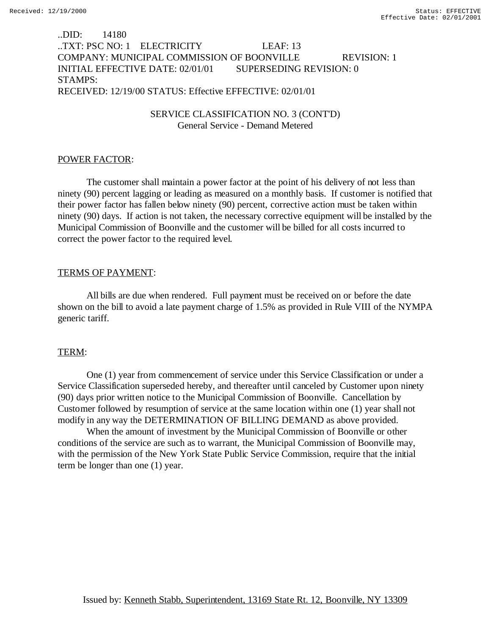## ..DID: 14180 ..TXT: PSC NO: 1 ELECTRICITY LEAF: 13 COMPANY: MUNICIPAL COMMISSION OF BOONVILLE REVISION: 1 INITIAL EFFECTIVE DATE: 02/01/01 SUPERSEDING REVISION: 0 STAMPS: RECEIVED: 12/19/00 STATUS: Effective EFFECTIVE: 02/01/01

### SERVICE CLASSIFICATION NO. 3 (CONT'D) General Service - Demand Metered

### POWER FACTOR:

The customer shall maintain a power factor at the point of his delivery of not less than ninety (90) percent lagging or leading as measured on a monthly basis. If customer is notified that their power factor has fallen below ninety (90) percent, corrective action must be taken within ninety (90) days. If action is not taken, the necessary corrective equipment will be installed by the Municipal Commission of Boonville and the customer will be billed for all costs incurred to correct the power factor to the required level.

### TERMS OF PAYMENT:

All bills are due when rendered. Full payment must be received on or before the date shown on the bill to avoid a late payment charge of 1.5% as provided in Rule VIII of the NYMPA generic tariff.

### TERM:

One (1) year from commencement of service under this Service Classification or under a Service Classification superseded hereby, and thereafter until canceled by Customer upon ninety (90) days prior written notice to the Municipal Commission of Boonville. Cancellation by Customer followed by resumption of service at the same location within one (1) year shall not modify in any way the DETERMINATION OF BILLING DEMAND as above provided.

When the amount of investment by the Municipal Commission of Boonville or other conditions of the service are such as to warrant, the Municipal Commission of Boonville may, with the permission of the New York State Public Service Commission, require that the initial term be longer than one (1) year.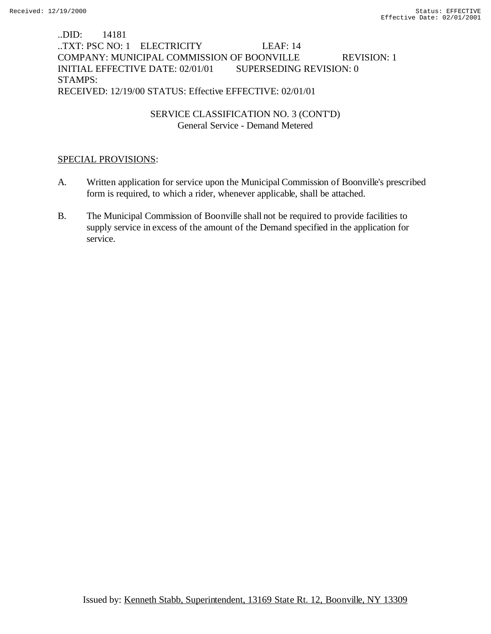# ..DID: 14181 ..TXT: PSC NO: 1 ELECTRICITY LEAF: 14 COMPANY: MUNICIPAL COMMISSION OF BOONVILLE REVISION: 1 INITIAL EFFECTIVE DATE: 02/01/01 SUPERSEDING REVISION: 0 STAMPS: RECEIVED: 12/19/00 STATUS: Effective EFFECTIVE: 02/01/01

SERVICE CLASSIFICATION NO. 3 (CONT'D) General Service - Demand Metered

- A. Written application for service upon the Municipal Commission of Boonville's prescribed form is required, to which a rider, whenever applicable, shall be attached.
- B. The Municipal Commission of Boonville shall not be required to provide facilities to supply service in excess of the amount of the Demand specified in the application for service.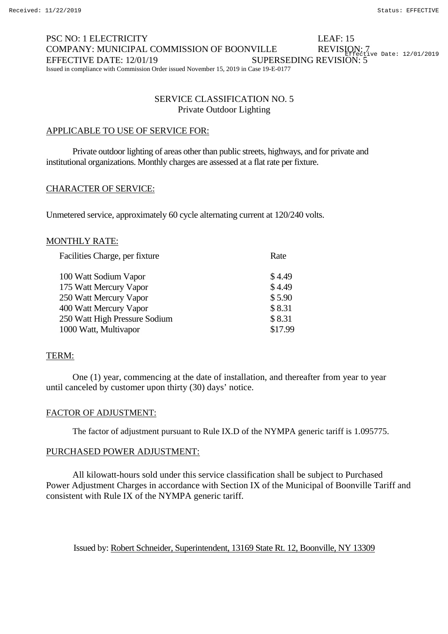#### PSC NO: 1 ELECTRICITY LEAF: 15 COMPANY: MUNICIPAL COMMISSION OF BOONVILLE EFFECTIVE DATE: 12/01/19 SUPERSEDING REVISION: 5 Issued in compliance with Commission Order issued November 15, 2019 in Case 19-E-0177 REVISION: 7<br>REFective Date: 12/01/2019

### SERVICE CLASSIFICATION NO. 5 Private Outdoor Lighting

### APPLICABLE TO USE OF SERVICE FOR:

Private outdoor lighting of areas other than public streets, highways, and for private and institutional organizations. Monthly charges are assessed at a flat rate per fixture.

### CHARACTER OF SERVICE:

Unmetered service, approximately 60 cycle alternating current at 120/240 volts.

### MONTHLY RATE:

| Facilities Charge, per fixture | Rate    |
|--------------------------------|---------|
| 100 Watt Sodium Vapor          | \$4.49  |
| 175 Watt Mercury Vapor         | \$4.49  |
| 250 Watt Mercury Vapor         | \$5.90  |
| 400 Watt Mercury Vapor         | \$8.31  |
| 250 Watt High Pressure Sodium  | \$8.31  |
| 1000 Watt, Multivapor          | \$17.99 |

#### TERM:

One (1) year, commencing at the date of installation, and thereafter from year to year until canceled by customer upon thirty (30) days' notice.

#### FACTOR OF ADJUSTMENT:

The factor of adjustment pursuant to Rule IX.D of the NYMPA generic tariff is 1.095775.

#### PURCHASED POWER ADJUSTMENT:

All kilowatt-hours sold under this service classification shall be subject to Purchased Power Adjustment Charges in accordance with Section IX of the Municipal of Boonville Tariff and consistent with Rule IX of the NYMPA generic tariff.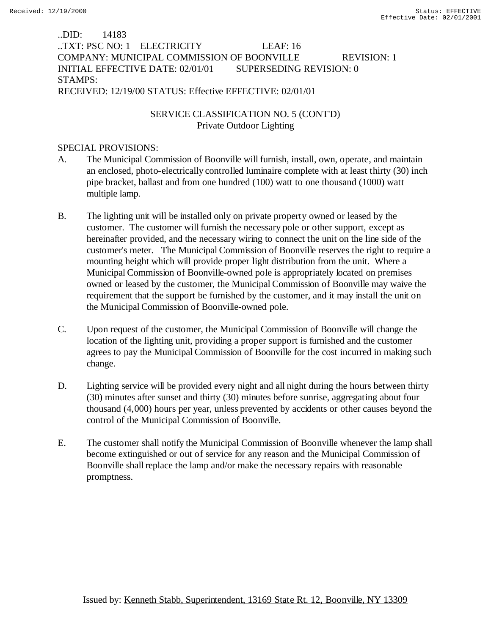# ..DID: 14183 ..TXT: PSC NO: 1 ELECTRICITY LEAF: 16 COMPANY: MUNICIPAL COMMISSION OF BOONVILLE REVISION: 1 INITIAL EFFECTIVE DATE: 02/01/01 SUPERSEDING REVISION: 0 STAMPS: RECEIVED: 12/19/00 STATUS: Effective EFFECTIVE: 02/01/01

# SERVICE CLASSIFICATION NO. 5 (CONT'D) Private Outdoor Lighting

- A. The Municipal Commission of Boonville will furnish, install, own, operate, and maintain an enclosed, photo-electrically controlled luminaire complete with at least thirty (30) inch pipe bracket, ballast and from one hundred (100) watt to one thousand (1000) watt multiple lamp.
- B. The lighting unit will be installed only on private property owned or leased by the customer. The customer will furnish the necessary pole or other support, except as hereinafter provided, and the necessary wiring to connect the unit on the line side of the customer's meter. The Municipal Commission of Boonville reserves the right to require a mounting height which will provide proper light distribution from the unit. Where a Municipal Commission of Boonville-owned pole is appropriately located on premises owned or leased by the customer, the Municipal Commission of Boonville may waive the requirement that the support be furnished by the customer, and it may install the unit on the Municipal Commission of Boonville-owned pole.
- C. Upon request of the customer, the Municipal Commission of Boonville will change the location of the lighting unit, providing a proper support is furnished and the customer agrees to pay the Municipal Commission of Boonville for the cost incurred in making such change.
- D. Lighting service will be provided every night and all night during the hours between thirty (30) minutes after sunset and thirty (30) minutes before sunrise, aggregating about four thousand (4,000) hours per year, unless prevented by accidents or other causes beyond the control of the Municipal Commission of Boonville.
- E. The customer shall notify the Municipal Commission of Boonville whenever the lamp shall become extinguished or out of service for any reason and the Municipal Commission of Boonville shall replace the lamp and/or make the necessary repairs with reasonable promptness.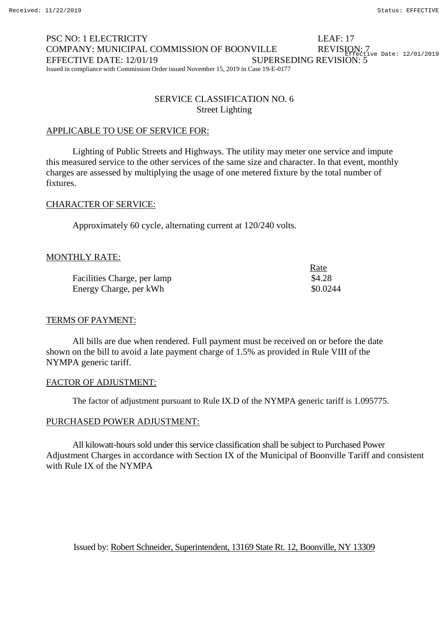#### PSC NO: 1 ELECTRICITY LEAF: 17 COMPANY: MUNICIPAL COMMISSION OF BOONVILLE EFFECTIVE DATE: 12/01/19 SUPERSEDING REVISION: 5 Issued in compliance with Commission Order issued November 15, 2019 in Case 19-E-0177 REVISION: 7<br>Reflective Date: 12/01/2019

## SERVICE CLASSIFICATION NO. 6 Street Lighting

### APPLICABLE TO USE OF SERVICE FOR:

Lighting of Public Streets and Highways. The utility may meter one service and impute this measured service to the other services of the same size and character. In that event, monthly charges are assessed by multiplying the usage of one metered fixture by the total number of fixtures.

# CHARACTER OF SERVICE:

Approximately 60 cycle, alternating current at 120/240 volts.

### MONTHLY RATE:

|                             | Rate     |
|-----------------------------|----------|
| Facilities Charge, per lamp | \$4.28   |
| Energy Charge, per kWh      | \$0.0244 |

#### TERMS OF PAYMENT:

All bills are due when rendered. Full payment must be received on or before the date shown on the bill to avoid a late payment charge of 1.5% as provided in Rule VIII of the NYMPA generic tariff.

#### FACTOR OF ADJUSTMENT:

The factor of adjustment pursuant to Rule IX.D of the NYMPA generic tariff is 1.095775.

#### PURCHASED POWER ADJUSTMENT:

All kilowatt-hours sold under this service classification shall be subject to Purchased Power Adjustment Charges in accordance with Section IX of the Municipal of Boonville Tariff and consistent with Rule IX of the NYMPA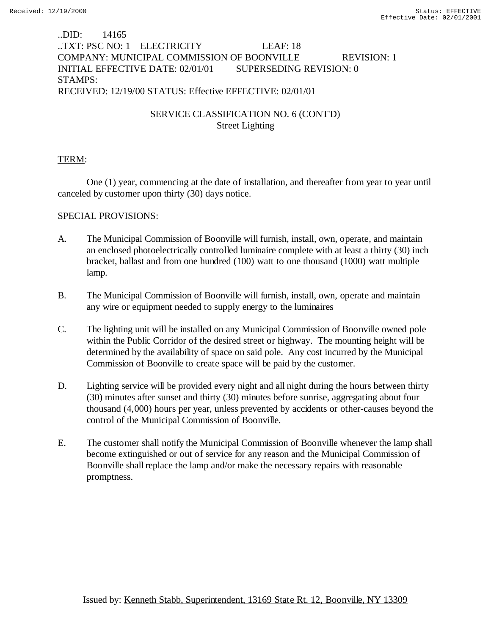# ..DID: 14165 ..TXT: PSC NO: 1 ELECTRICITY LEAF: 18 COMPANY: MUNICIPAL COMMISSION OF BOONVILLE REVISION: 1 INITIAL EFFECTIVE DATE: 02/01/01 SUPERSEDING REVISION: 0 STAMPS: RECEIVED: 12/19/00 STATUS: Effective EFFECTIVE: 02/01/01

# SERVICE CLASSIFICATION NO. 6 (CONT'D) Street Lighting

## TERM:

One (1) year, commencing at the date of installation, and thereafter from year to year until canceled by customer upon thirty (30) days notice.

- A. The Municipal Commission of Boonville will furnish, install, own, operate, and maintain an enclosed photoelectrically controlled luminaire complete with at least a thirty (30) inch bracket, ballast and from one hundred (100) watt to one thousand (1000) watt multiple lamp.
- B. The Municipal Commission of Boonville will furnish, install, own, operate and maintain any wire or equipment needed to supply energy to the luminaires
- C. The lighting unit will be installed on any Municipal Commission of Boonville owned pole within the Public Corridor of the desired street or highway. The mounting height will be determined by the availability of space on said pole. Any cost incurred by the Municipal Commission of Boonville to create space will be paid by the customer.
- D. Lighting service will be provided every night and all night during the hours between thirty (30) minutes after sunset and thirty (30) minutes before sunrise, aggregating about four thousand (4,000) hours per year, unless prevented by accidents or other-causes beyond the control of the Municipal Commission of Boonville.
- E. The customer shall notify the Municipal Commission of Boonville whenever the lamp shall become extinguished or out of service for any reason and the Municipal Commission of Boonville shall replace the lamp and/or make the necessary repairs with reasonable promptness.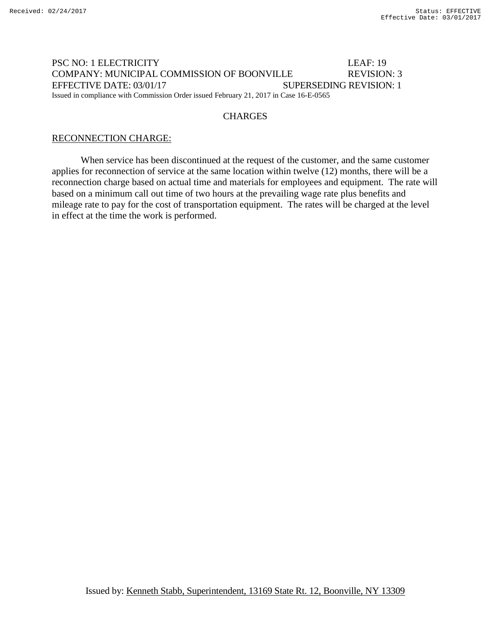### PSC NO: 1 ELECTRICITY LEAF: 19 COMPANY: MUNICIPAL COMMISSION OF BOONVILLE REVISION: 3 EFFECTIVE DATE: 03/01/17 SUPERSEDING REVISION: 1 Issued in compliance with Commission Order issued February 21, 2017 in Case 16-E-0565

### **CHARGES**

### RECONNECTION CHARGE:

When service has been discontinued at the request of the customer, and the same customer applies for reconnection of service at the same location within twelve (12) months, there will be a reconnection charge based on actual time and materials for employees and equipment. The rate will based on a minimum call out time of two hours at the prevailing wage rate plus benefits and mileage rate to pay for the cost of transportation equipment. The rates will be charged at the level in effect at the time the work is performed.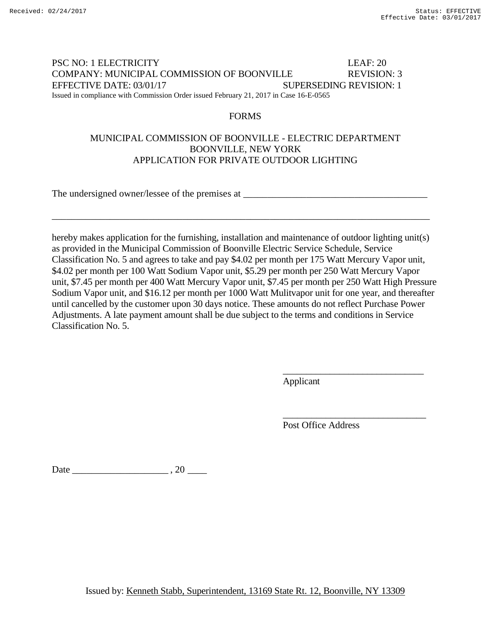### PSC NO: 1 ELECTRICITY LEAF: 20 COMPANY: MUNICIPAL COMMISSION OF BOONVILLE REVISION: 3 EFFECTIVE DATE: 03/01/17 SUPERSEDING REVISION: 1 Issued in compliance with Commission Order issued February 21, 2017 in Case 16-E-0565

### FORMS

# MUNICIPAL COMMISSION OF BOONVILLE - ELECTRIC DEPARTMENT BOONVILLE, NEW YORK APPLICATION FOR PRIVATE OUTDOOR LIGHTING

\_\_\_\_\_\_\_\_\_\_\_\_\_\_\_\_\_\_\_\_\_\_\_\_\_\_\_\_\_\_\_\_\_\_\_\_\_\_\_\_\_\_\_\_\_\_\_\_\_\_\_\_\_\_\_\_\_\_\_\_\_\_\_\_\_\_\_\_\_\_\_\_\_\_\_\_\_\_

The undersigned owner/lessee of the premises at \_\_\_\_\_\_\_\_\_\_\_\_\_\_\_\_\_\_\_\_\_\_\_\_\_\_\_\_\_\_\_\_\_

hereby makes application for the furnishing, installation and maintenance of outdoor lighting unit(s) as provided in the Municipal Commission of Boonville Electric Service Schedule, Service Classification No. 5 and agrees to take and pay \$4.02 per month per 175 Watt Mercury Vapor unit, \$4.02 per month per 100 Watt Sodium Vapor unit, \$5.29 per month per 250 Watt Mercury Vapor unit, \$7.45 per month per 400 Watt Mercury Vapor unit, \$7.45 per month per 250 Watt High Pressure Sodium Vapor unit, and \$16.12 per month per 1000 Watt Mulitvapor unit for one year, and thereafter until cancelled by the customer upon 30 days notice. These amounts do not reflect Purchase Power Adjustments. A late payment amount shall be due subject to the terms and conditions in Service Classification No. 5.

Applicant

Post Office Address

\_\_\_\_\_\_\_\_\_\_\_\_\_\_\_\_\_\_\_\_\_\_\_\_\_\_\_\_\_\_

\_\_\_\_\_\_\_\_\_\_\_\_\_\_\_\_\_\_\_\_\_\_\_\_\_\_\_\_\_\_

Date \_\_\_\_\_\_\_\_\_\_\_\_\_\_\_\_\_\_\_\_ , 20 \_\_\_\_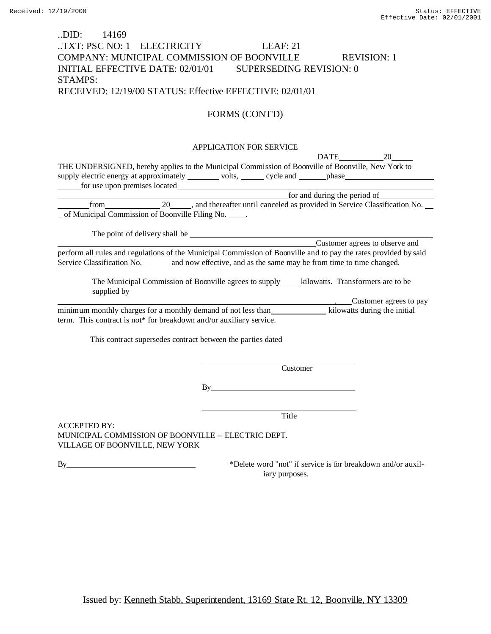## ..DID: 14169 ..TXT: PSC NO: 1 ELECTRICITY LEAF: 21 COMPANY: MUNICIPAL COMMISSION OF BOONVILLE REVISION: 1 INITIAL EFFECTIVE DATE: 02/01/01 SUPERSEDING REVISION: 0 STAMPS: RECEIVED: 12/19/00 STATUS: Effective EFFECTIVE: 02/01/01

# FORMS (CONT'D)

### APPLICATION FOR SERVICE

|                                                                                                                                                                                                                                        |                                                             |                                                                                                                                                                                                                                | <b>DATE</b> | 20                                                                                                                     |
|----------------------------------------------------------------------------------------------------------------------------------------------------------------------------------------------------------------------------------------|-------------------------------------------------------------|--------------------------------------------------------------------------------------------------------------------------------------------------------------------------------------------------------------------------------|-------------|------------------------------------------------------------------------------------------------------------------------|
| THE UNDERSIGNED, hereby applies to the Municipal Commission of Boonville of Boonville, New York to                                                                                                                                     |                                                             |                                                                                                                                                                                                                                |             |                                                                                                                        |
| supply electric energy at approximately ________ volts, _____ cycle and ______ phase _______________                                                                                                                                   |                                                             |                                                                                                                                                                                                                                |             |                                                                                                                        |
| for use upon premises located<br><u>contract and the set of the set of the set of the set of the set of the set of the set of the set of the set of the set of the set of the set of the set of the set of the set of the set of t</u> |                                                             |                                                                                                                                                                                                                                |             |                                                                                                                        |
|                                                                                                                                                                                                                                        |                                                             |                                                                                                                                                                                                                                |             |                                                                                                                        |
|                                                                                                                                                                                                                                        |                                                             |                                                                                                                                                                                                                                |             | for and during the period of<br>from 20 _____, and thereafter until canceled as provided in Service Classification No. |
| _ of Municipal Commission of Boonville Filing No. _____.                                                                                                                                                                               |                                                             |                                                                                                                                                                                                                                |             |                                                                                                                        |
|                                                                                                                                                                                                                                        |                                                             |                                                                                                                                                                                                                                |             |                                                                                                                        |
|                                                                                                                                                                                                                                        |                                                             |                                                                                                                                                                                                                                |             |                                                                                                                        |
|                                                                                                                                                                                                                                        |                                                             |                                                                                                                                                                                                                                |             | Customer agrees to observe and                                                                                         |
| perform all rules and regulations of the Municipal Commission of Boonville and to pay the rates provided by said                                                                                                                       |                                                             |                                                                                                                                                                                                                                |             |                                                                                                                        |
| Service Classification No. _______ and now effective, and as the same may be from time to time changed.                                                                                                                                |                                                             |                                                                                                                                                                                                                                |             |                                                                                                                        |
|                                                                                                                                                                                                                                        |                                                             |                                                                                                                                                                                                                                |             |                                                                                                                        |
|                                                                                                                                                                                                                                        |                                                             |                                                                                                                                                                                                                                |             |                                                                                                                        |
| supplied by                                                                                                                                                                                                                            |                                                             |                                                                                                                                                                                                                                |             |                                                                                                                        |
|                                                                                                                                                                                                                                        |                                                             |                                                                                                                                                                                                                                |             | . Customer agrees to pay                                                                                               |
| minimum monthly charges for a monthly demand of not less than kilowatts during the initial                                                                                                                                             |                                                             |                                                                                                                                                                                                                                |             |                                                                                                                        |
| term. This contract is not* for breakdown and/or auxiliary service.                                                                                                                                                                    |                                                             |                                                                                                                                                                                                                                |             |                                                                                                                        |
|                                                                                                                                                                                                                                        |                                                             |                                                                                                                                                                                                                                |             |                                                                                                                        |
|                                                                                                                                                                                                                                        | This contract supersedes contract between the parties dated |                                                                                                                                                                                                                                |             |                                                                                                                        |
|                                                                                                                                                                                                                                        |                                                             |                                                                                                                                                                                                                                |             |                                                                                                                        |
|                                                                                                                                                                                                                                        |                                                             |                                                                                                                                                                                                                                |             |                                                                                                                        |
|                                                                                                                                                                                                                                        |                                                             | Customer                                                                                                                                                                                                                       |             |                                                                                                                        |
|                                                                                                                                                                                                                                        |                                                             |                                                                                                                                                                                                                                |             |                                                                                                                        |
|                                                                                                                                                                                                                                        |                                                             | By the contract of the contract of the contract of the contract of the contract of the contract of the contract of the contract of the contract of the contract of the contract of the contract of the contract of the contrac |             |                                                                                                                        |
|                                                                                                                                                                                                                                        |                                                             |                                                                                                                                                                                                                                |             |                                                                                                                        |
|                                                                                                                                                                                                                                        |                                                             | Title                                                                                                                                                                                                                          |             |                                                                                                                        |
| <b>ACCEPTED BY:</b>                                                                                                                                                                                                                    |                                                             |                                                                                                                                                                                                                                |             |                                                                                                                        |
| MUNICIPAL COMMISSION OF BOONVILLE -- ELECTRIC DEPT.                                                                                                                                                                                    |                                                             |                                                                                                                                                                                                                                |             |                                                                                                                        |
| VILLAGE OF BOONVILLE, NEW YORK                                                                                                                                                                                                         |                                                             |                                                                                                                                                                                                                                |             |                                                                                                                        |
|                                                                                                                                                                                                                                        |                                                             |                                                                                                                                                                                                                                |             |                                                                                                                        |
| By                                                                                                                                                                                                                                     |                                                             |                                                                                                                                                                                                                                |             | *Delete word "not" if service is for breakdown and/or auxil-                                                           |
|                                                                                                                                                                                                                                        |                                                             | iary purposes.                                                                                                                                                                                                                 |             |                                                                                                                        |
|                                                                                                                                                                                                                                        |                                                             |                                                                                                                                                                                                                                |             |                                                                                                                        |